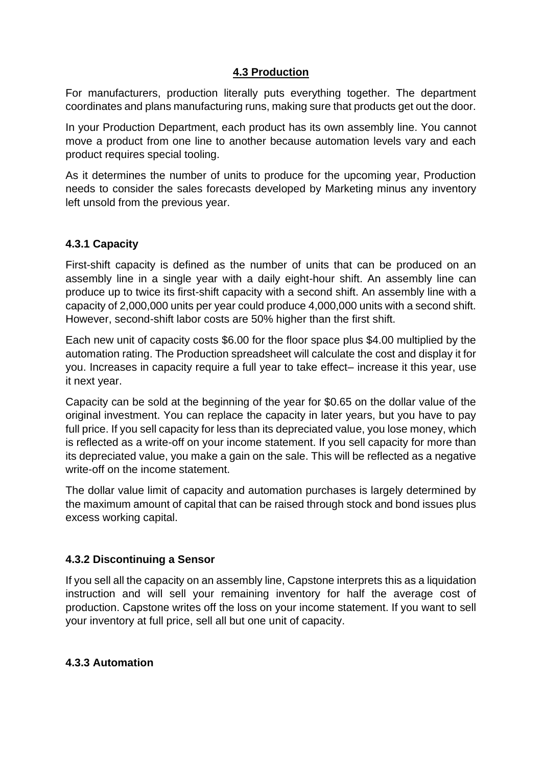### **4.3 Production**

For manufacturers, production literally puts everything together. The department coordinates and plans manufacturing runs, making sure that products get out the door.

In your Production Department, each product has its own assembly line. You cannot move a product from one line to another because automation levels vary and each product requires special tooling.

As it determines the number of units to produce for the upcoming year, Production needs to consider the sales forecasts developed by Marketing minus any inventory left unsold from the previous year.

## **4.3.1 Capacity**

First-shift capacity is defined as the number of units that can be produced on an assembly line in a single year with a daily eight-hour shift. An assembly line can produce up to twice its first-shift capacity with a second shift. An assembly line with a capacity of 2,000,000 units per year could produce 4,000,000 units with a second shift. However, second-shift labor costs are 50% higher than the first shift.

Each new unit of capacity costs \$6.00 for the floor space plus \$4.00 multiplied by the automation rating. The Production spreadsheet will calculate the cost and display it for you. Increases in capacity require a full year to take effect– increase it this year, use it next year.

Capacity can be sold at the beginning of the year for \$0.65 on the dollar value of the original investment. You can replace the capacity in later years, but you have to pay full price. If you sell capacity for less than its depreciated value, you lose money, which is reflected as a write-off on your income statement. If you sell capacity for more than its depreciated value, you make a gain on the sale. This will be reflected as a negative write-off on the income statement.

The dollar value limit of capacity and automation purchases is largely determined by the maximum amount of capital that can be raised through stock and bond issues plus excess working capital.

## **4.3.2 Discontinuing a Sensor**

If you sell all the capacity on an assembly line, Capstone interprets this as a liquidation instruction and will sell your remaining inventory for half the average cost of production. Capstone writes off the loss on your income statement. If you want to sell your inventory at full price, sell all but one unit of capacity.

#### **4.3.3 Automation**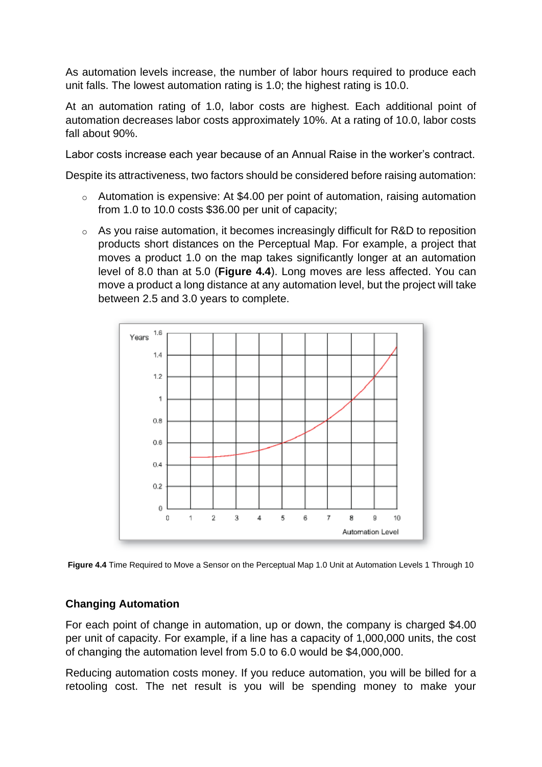As automation levels increase, the number of labor hours required to produce each unit falls. The lowest automation rating is 1.0; the highest rating is 10.0.

At an automation rating of 1.0, labor costs are highest. Each additional point of automation decreases labor costs approximately 10%. At a rating of 10.0, labor costs fall about 90%.

Labor costs increase each year because of an Annual Raise in the worker's contract.

Despite its attractiveness, two factors should be considered before raising automation:

- $\circ$  Automation is expensive: At \$4.00 per point of automation, raising automation from 1.0 to 10.0 costs \$36.00 per unit of capacity;
- o As you raise automation, it becomes increasingly difficult for R&D to reposition products short distances on the Perceptual Map. For example, a project that moves a product 1.0 on the map takes significantly longer at an automation level of 8.0 than at 5.0 (**Figure 4.4**). Long moves are less affected. You can move a product a long distance at any automation level, but the project will take between 2.5 and 3.0 years to complete.



**Figure 4.4** Time Required to Move a Sensor on the Perceptual Map 1.0 Unit at Automation Levels 1 Through 10

## **Changing Automation**

For each point of change in automation, up or down, the company is charged \$4.00 per unit of capacity. For example, if a line has a capacity of 1,000,000 units, the cost of changing the automation level from 5.0 to 6.0 would be \$4,000,000.

Reducing automation costs money. If you reduce automation, you will be billed for a retooling cost. The net result is you will be spending money to make your